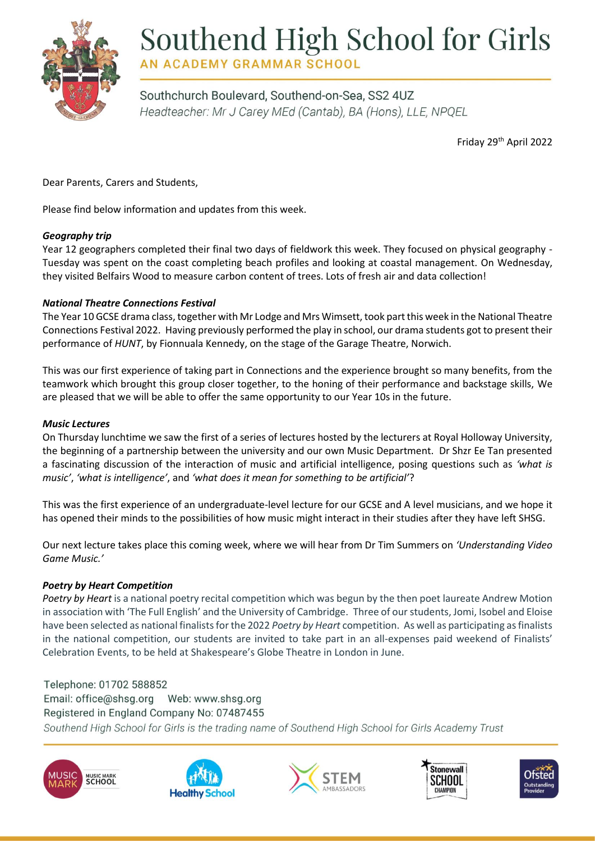

# Southend High School for Girls

**AN ACADEMY GRAMMAR SCHOOL** 

Southchurch Boulevard, Southend-on-Sea, SS2 4UZ Headteacher: Mr J Carey MEd (Cantab), BA (Hons), LLE, NPQEL

Friday 29th April 2022

Dear Parents, Carers and Students,

Please find below information and updates from this week.

# *Geography trip*

Year 12 geographers completed their final two days of fieldwork this week. They focused on physical geography - Tuesday was spent on the coast completing beach profiles and looking at coastal management. On Wednesday, they visited Belfairs Wood to measure carbon content of trees. Lots of fresh air and data collection!

# *National Theatre Connections Festival*

The Year 10 GCSE drama class, together with Mr Lodge and Mrs Wimsett, took part this week in the National Theatre Connections Festival 2022. Having previously performed the play in school, our drama students got to present their performance of *HUNT*, by Fionnuala Kennedy, on the stage of the Garage Theatre, Norwich.

This was our first experience of taking part in Connections and the experience brought so many benefits, from the teamwork which brought this group closer together, to the honing of their performance and backstage skills, We are pleased that we will be able to offer the same opportunity to our Year 10s in the future.

# *Music Lectures*

On Thursday lunchtime we saw the first of a series of lectures hosted by the lecturers at Royal Holloway University, the beginning of a partnership between the university and our own Music Department. Dr Shzr Ee Tan presented a fascinating discussion of the interaction of music and artificial intelligence, posing questions such as *'what is music'*, *'what is intelligence'*, and *'what does it mean for something to be artificial'*?

This was the first experience of an undergraduate-level lecture for our GCSE and A level musicians, and we hope it has opened their minds to the possibilities of how music might interact in their studies after they have left SHSG.

Our next lecture takes place this coming week, where we will hear from Dr Tim Summers on *'Understanding Video Game Music.'*

# *Poetry by Heart Competition*

*Poetry by Heart* is a national poetry recital competition which was begun by the then poet laureate Andrew Motion in association with 'The Full English' and the University of Cambridge. Three of our students, Jomi, Isobel and Eloise have been selected as national finalists for the 2022 *Poetry by Heart* competition. As well as participating as finalists in the national competition, our students are invited to take part in an all-expenses paid weekend of Finalists' Celebration Events, to be held at Shakespeare's Globe Theatre in London in June.

Telephone: 01702 588852 Email: office@shsq.org Web: www.shsg.org Registered in England Company No: 07487455 Southend High School for Girls is the trading name of Southend High School for Girls Academy Trust









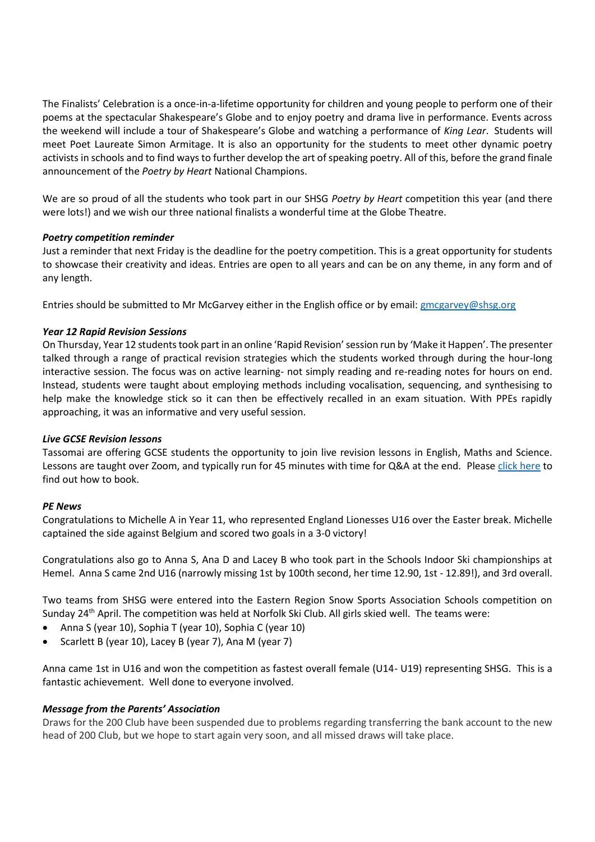The Finalists' Celebration is a once-in-a-lifetime opportunity for children and young people to perform one of their poems at the spectacular Shakespeare's Globe and to enjoy poetry and drama live in performance. Events across the weekend will include a tour of Shakespeare's Globe and watching a performance of *King Lear*. Students will meet Poet Laureate Simon Armitage. It is also an opportunity for the students to meet other dynamic poetry activists in schools and to find ways to further develop the art of speaking poetry. All of this, before the grand finale announcement of the *Poetry by Heart* National Champions.

We are so proud of all the students who took part in our SHSG *Poetry by Heart* competition this year (and there were lots!) and we wish our three national finalists a wonderful time at the Globe Theatre.

## *Poetry competition reminder*

Just a reminder that next Friday is the deadline for the poetry competition. This is a great opportunity for students to showcase their creativity and ideas. Entries are open to all years and can be on any theme, in any form and of any length.

Entries should be submitted to Mr McGarvey either in the English office or by email[: gmcgarvey@shsg.org](mailto:gmcgarvey@shsg.org)

## *Year 12 Rapid Revision Sessions*

On Thursday, Year 12 students took part in an online 'Rapid Revision' session run by 'Make it Happen'. The presenter talked through a range of practical revision strategies which the students worked through during the hour-long interactive session. The focus was on active learning- not simply reading and re-reading notes for hours on end. Instead, students were taught about employing methods including vocalisation, sequencing, and synthesising to help make the knowledge stick so it can then be effectively recalled in an exam situation. With PPEs rapidly approaching, it was an informative and very useful session.

#### *Live GCSE Revision lessons*

Tassomai are offering GCSE students the opportunity to join live revision lessons in English, Maths and Science. Lessons are taught over Zoom, and typically run for 45 minutes with time for Q&A at the end. Please [click here](https://www.tassomai.com/live-lessons) to find out how to book.

#### *PE News*

Congratulations to Michelle A in Year 11, who represented England Lionesses U16 over the Easter break. Michelle captained the side against Belgium and scored two goals in a 3-0 victory!

Congratulations also go to Anna S, Ana D and Lacey B who took part in the Schools Indoor Ski championships at Hemel. Anna S came 2nd U16 (narrowly missing 1st by 100th second, her time 12.90, 1st - 12.89!), and 3rd overall.

Two teams from SHSG were entered into the Eastern Region Snow Sports Association Schools competition on Sunday 24th April. The competition was held at Norfolk Ski Club. All girls skied well. The teams were:

- Anna S (year 10), Sophia T (year 10), Sophia C (year 10)
- Scarlett B (year 10), Lacey B (year 7), Ana M (year 7)

Anna came 1st in U16 and won the competition as fastest overall female (U14- U19) representing SHSG. This is a fantastic achievement. Well done to everyone involved.

#### *Message from the Parents' Association*

Draws for the 200 Club have been suspended due to problems regarding transferring the bank account to the new head of 200 Club, but we hope to start again very soon, and all missed draws will take place.